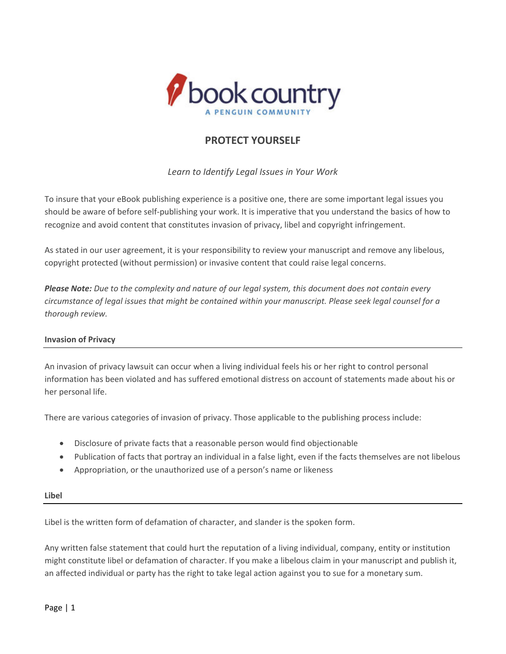

# **PROTECT YOURSELF**

*Learn to Identify Legal Issues in Your Work*

To insure that your eBook publishing experience is a positive one, there are some important legal issues you should be aware of before self‐publishing your work. It is imperative that you understand the basics of how to recognize and avoid content that constitutes invasion of privacy, libel and copyright infringement.

As stated in our user agreement, it is your responsibility to review your manuscript and remove any libelous, copyright protected (without permission) or invasive content that could raise legal concerns.

Please Note: Due to the complexity and nature of our legal system, this document does not contain every circumstance of legal issues that might be contained within your manuscript. Please seek legal counsel for a *thorough review.*

## **Invasion of Privacy**

An invasion of privacy lawsuit can occur when a living individual feels his or her right to control personal information has been violated and has suffered emotional distress on account of statements made about his or her personal life.

There are various categories of invasion of privacy. Those applicable to the publishing process include:

- Disclosure of private facts that a reasonable person would find objectionable
- Publication of facts that portray an individual in a false light, even if the facts themselves are not libelous
- Appropriation, or the unauthorized use of a person's name or likeness

#### **Libel**

Libel is the written form of defamation of character, and slander is the spoken form.

Any written false statement that could hurt the reputation of a living individual, company, entity or institution might constitute libel or defamation of character. If you make a libelous claim in your manuscript and publish it, an affected individual or party has the right to take legal action against you to sue for a monetary sum.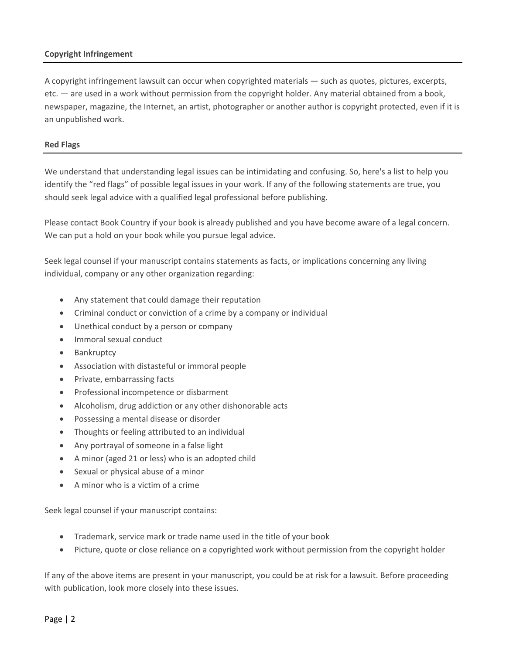## **Copyright Infringement**

A copyright infringement lawsuit can occur when copyrighted materials — such as quotes, pictures, excerpts, etc. — are used in a work without permission from the copyright holder. Any material obtained from a book, newspaper, magazine, the Internet, an artist, photographer or another author is copyright protected, even if it is an unpublished work.

#### **Red Flags**

We understand that understanding legal issues can be intimidating and confusing. So, here's a list to help you identify the "red flags" of possible legal issues in your work. If any of the following statements are true, you should seek legal advice with a qualified legal professional before publishing.

Please contact Book Country if your book is already published and you have become aware of a legal concern. We can put a hold on your book while you pursue legal advice.

Seek legal counsel if your manuscript contains statements as facts, or implications concerning any living individual, company or any other organization regarding:

- Any statement that could damage their reputation
- Criminal conduct or conviction of a crime by a company or individual
- Unethical conduct by a person or company
- Immoral sexual conduct
- Bankruptcy
- Association with distasteful or immoral people
- Private, embarrassing facts
- Professional incompetence or disbarment
- Alcoholism, drug addiction or any other dishonorable acts
- Possessing a mental disease or disorder
- Thoughts or feeling attributed to an individual
- Any portrayal of someone in a false light
- A minor (aged 21 or less) who is an adopted child
- Sexual or physical abuse of a minor
- A minor who is a victim of a crime

Seek legal counsel if your manuscript contains:

- Trademark, service mark or trade name used in the title of your book
- Picture, quote or close reliance on a copyrighted work without permission from the copyright holder

If any of the above items are present in your manuscript, you could be at risk for a lawsuit. Before proceeding with publication, look more closely into these issues.